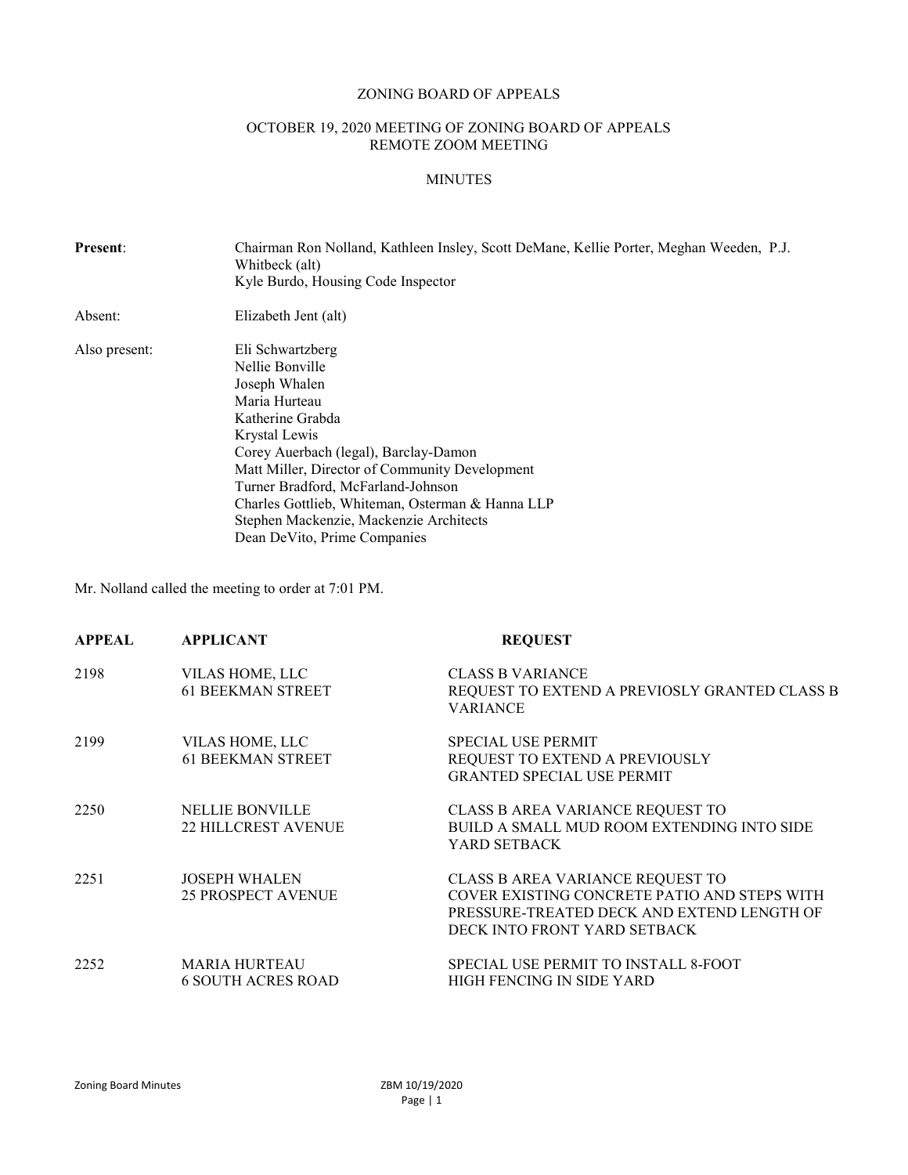# ZONING BOARD OF APPEALS

## OCTOBER 19, 2020 MEETING OF ZONING BOARD OF APPEALS REMOTE ZOOM MEETING

## MINUTES

| <b>Present:</b> | Chairman Ron Nolland, Kathleen Insley, Scott DeMane, Kellie Porter, Meghan Weeden, P.J.<br>Whitbeck (alt)<br>Kyle Burdo, Housing Code Inspector                                                                                                                                                                                                                            |  |
|-----------------|----------------------------------------------------------------------------------------------------------------------------------------------------------------------------------------------------------------------------------------------------------------------------------------------------------------------------------------------------------------------------|--|
| Absent:         | Elizabeth Jent (alt)                                                                                                                                                                                                                                                                                                                                                       |  |
| Also present:   | Eli Schwartzberg<br>Nellie Bonville<br>Joseph Whalen<br>Maria Hurteau<br>Katherine Grabda<br>Krystal Lewis<br>Corey Auerbach (legal), Barclay-Damon<br>Matt Miller, Director of Community Development<br>Turner Bradford, McFarland-Johnson<br>Charles Gottlieb, Whiteman, Osterman & Hanna LLP<br>Stephen Mackenzie, Mackenzie Architects<br>Dean DeVito, Prime Companies |  |

Mr. Nolland called the meeting to order at 7:01 PM.

| <b>APPEAL</b> | <b>APPLICANT</b>                                     | <b>REQUEST</b>                                                                                                                                                 |
|---------------|------------------------------------------------------|----------------------------------------------------------------------------------------------------------------------------------------------------------------|
| 2198          | VILAS HOME, LLC<br><b>61 BEEKMAN STREET</b>          | <b>CLASS B VARIANCE</b><br>REQUEST TO EXTEND A PREVIOSLY GRANTED CLASS B<br><b>VARIANCE</b>                                                                    |
| 2199          | VILAS HOME, LLC<br><b>61 BEEKMAN STREET</b>          | <b>SPECIAL USE PERMIT</b><br>REQUEST TO EXTEND A PREVIOUSLY<br><b>GRANTED SPECIAL USE PERMIT</b>                                                               |
| 2250          | <b>NELLIE BONVILLE</b><br><b>22 HILLCREST AVENUE</b> | CLASS B AREA VARIANCE REQUEST TO<br>BUILD A SMALL MUD ROOM EXTENDING INTO SIDE<br>YARD SETBACK                                                                 |
| 2251          | <b>JOSEPH WHALEN</b><br><b>25 PROSPECT AVENUE</b>    | CLASS B AREA VARIANCE REQUEST TO<br>COVER EXISTING CONCRETE PATIO AND STEPS WITH<br>PRESSURE-TREATED DECK AND EXTEND LENGTH OF<br>DECK INTO FRONT YARD SETBACK |
| 2252          | <b>MARIA HURTEAU</b><br><b>6 SOUTH ACRES ROAD</b>    | SPECIAL USE PERMIT TO INSTALL 8-FOOT<br>HIGH FENCING IN SIDE YARD                                                                                              |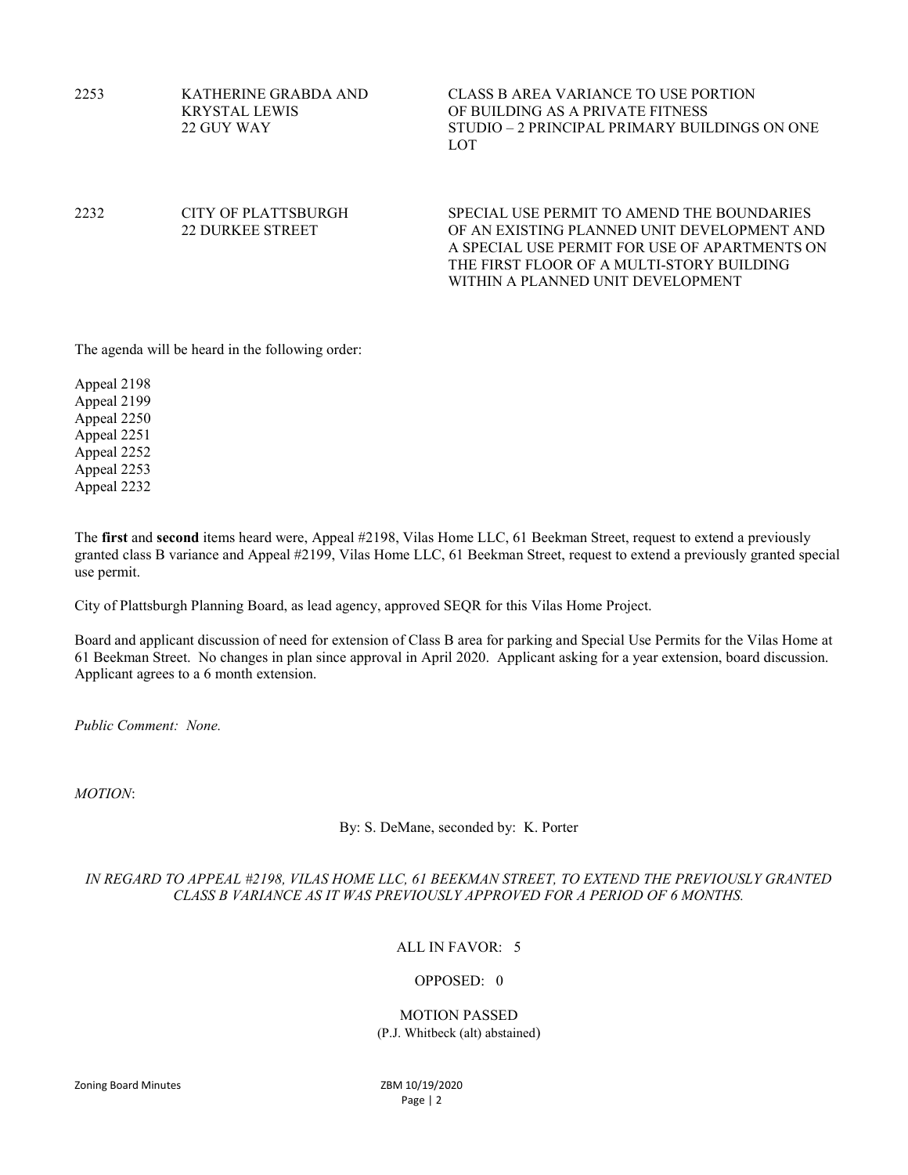| 2253 | KATHERINE GRABDA AND<br><b>KRYSTAL LEWIS</b><br>22 GUY WAY | CLASS B AREA VARIANCE TO USE PORTION<br>OF BUILDING AS A PRIVATE FITNESS<br>STUDIO – 2 PRINCIPAL PRIMARY BUILDINGS ON ONE<br>LOT                                                                                             |
|------|------------------------------------------------------------|------------------------------------------------------------------------------------------------------------------------------------------------------------------------------------------------------------------------------|
| 2232 | CITY OF PLATTSBURGH<br>22 DURKEE STREET                    | SPECIAL USE PERMIT TO AMEND THE BOUNDARIES<br>OF AN EXISTING PLANNED UNIT DEVELOPMENT AND<br>A SPECIAL USE PERMIT FOR USE OF APARTMENTS ON<br>THE FIRST FLOOR OF A MULTI-STORY BUILDING<br>WITHIN A PLANNED UNIT DEVELOPMENT |

The agenda will be heard in the following order:

Appeal 2198 Appeal 2199 Appeal 2250 Appeal 2251 Appeal 2252 Appeal 2253 Appeal 2232

The first and second items heard were, Appeal #2198, Vilas Home LLC, 61 Beekman Street, request to extend a previously granted class B variance and Appeal #2199, Vilas Home LLC, 61 Beekman Street, request to extend a previously granted special use permit.

City of Plattsburgh Planning Board, as lead agency, approved SEQR for this Vilas Home Project.

Board and applicant discussion of need for extension of Class B area for parking and Special Use Permits for the Vilas Home at 61 Beekman Street. No changes in plan since approval in April 2020. Applicant asking for a year extension, board discussion. Applicant agrees to a 6 month extension.

Public Comment: None.

MOTION:

By: S. DeMane, seconded by: K. Porter

## IN REGARD TO APPEAL #2198, VILAS HOME LLC, 61 BEEKMAN STREET, TO EXTEND THE PREVIOUSLY GRANTED CLASS B VARIANCE AS IT WAS PREVIOUSLY APPROVED FOR A PERIOD OF 6 MONTHS.

## ALL IN FAVOR: 5

## OPPOSED: 0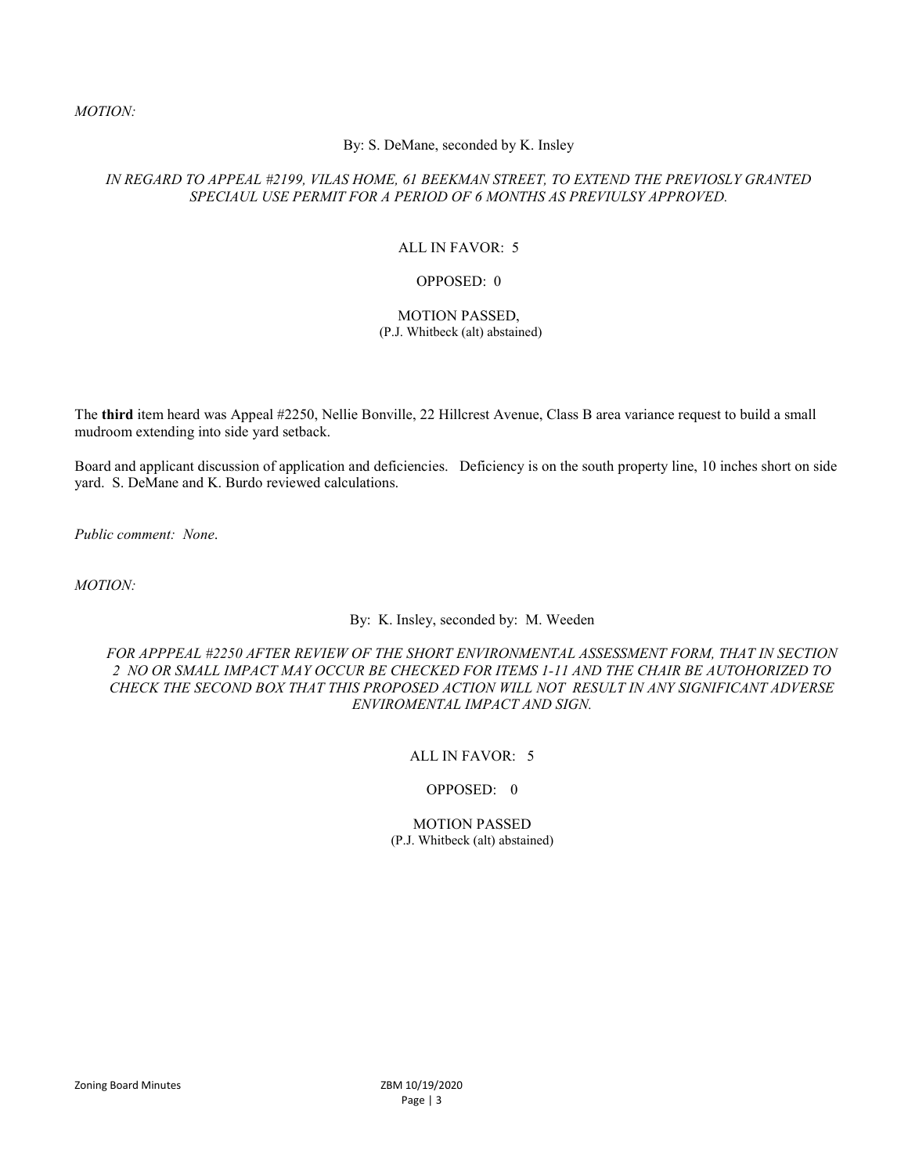### MOTION:

### By: S. DeMane, seconded by K. Insley

### IN REGARD TO APPEAL #2199, VILAS HOME, 61 BEEKMAN STREET, TO EXTEND THE PREVIOSLY GRANTED SPECIAUL USE PERMIT FOR A PERIOD OF 6 MONTHS AS PREVIULSY APPROVED.

### ALL IN FAVOR: 5

#### OPPOSED: 0

#### MOTION PASSED, (P.J. Whitbeck (alt) abstained)

The third item heard was Appeal #2250, Nellie Bonville, 22 Hillcrest Avenue, Class B area variance request to build a small mudroom extending into side yard setback.

Board and applicant discussion of application and deficiencies. Deficiency is on the south property line, 10 inches short on side yard. S. DeMane and K. Burdo reviewed calculations.

Public comment: None.

MOTION:

By: K. Insley, seconded by: M. Weeden

FOR APPPEAL #2250 AFTER REVIEW OF THE SHORT ENVIRONMENTAL ASSESSMENT FORM, THAT IN SECTION 2 NO OR SMALL IMPACT MAY OCCUR BE CHECKED FOR ITEMS 1-11 AND THE CHAIR BE AUTOHORIZED TO CHECK THE SECOND BOX THAT THIS PROPOSED ACTION WILL NOT RESULT IN ANY SIGNIFICANT ADVERSE ENVIROMENTAL IMPACT AND SIGN.

## ALL IN FAVOR: 5

### OPPOSED: 0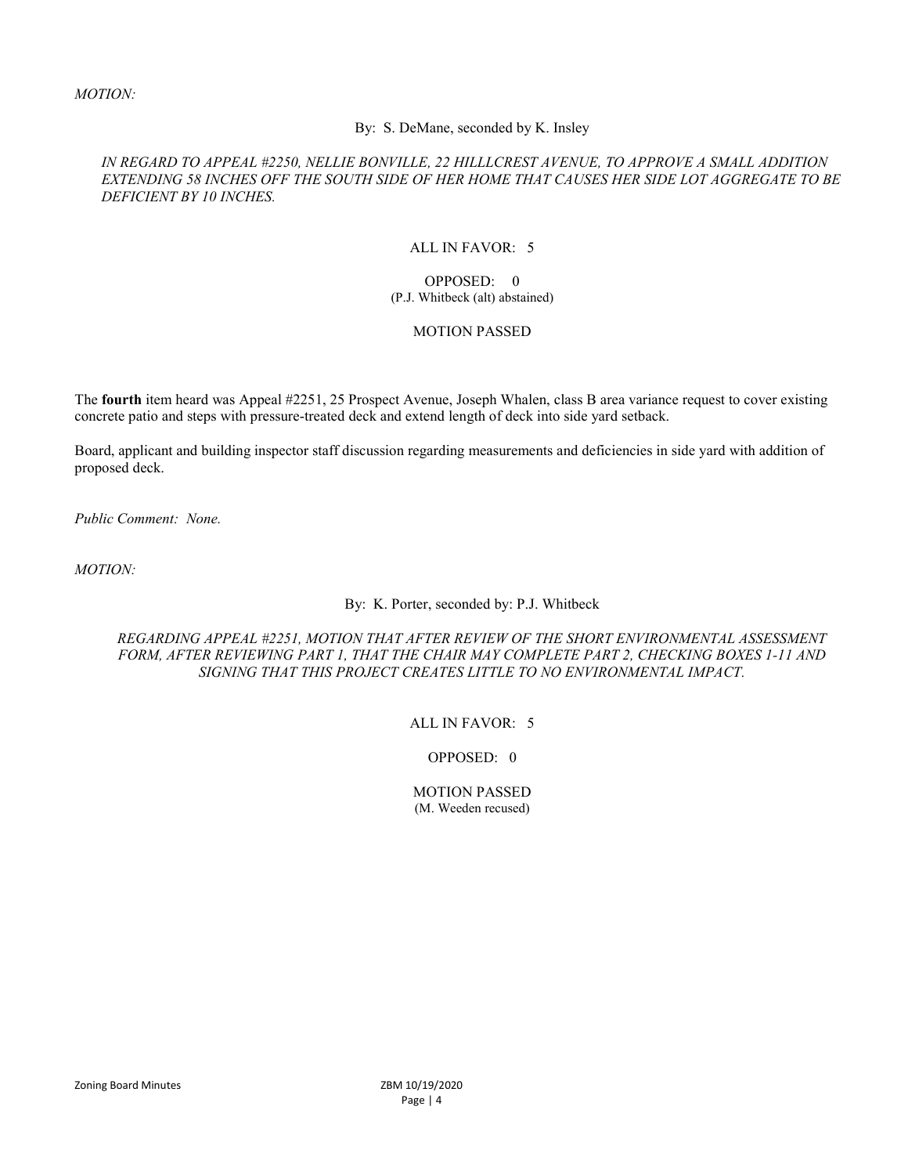### By: S. DeMane, seconded by K. Insley

## IN REGARD TO APPEAL #2250, NELLIE BONVILLE, 22 HILLLCREST AVENUE, TO APPROVE A SMALL ADDITION EXTENDING 58 INCHES OFF THE SOUTH SIDE OF HER HOME THAT CAUSES HER SIDE LOT AGGREGATE TO BE DEFICIENT BY 10 INCHES.

## ALL IN FAVOR: 5

#### OPPOSED: 0 (P.J. Whitbeck (alt) abstained)

### MOTION PASSED

The fourth item heard was Appeal #2251, 25 Prospect Avenue, Joseph Whalen, class B area variance request to cover existing concrete patio and steps with pressure-treated deck and extend length of deck into side yard setback.

Board, applicant and building inspector staff discussion regarding measurements and deficiencies in side yard with addition of proposed deck.

Public Comment: None.

MOTION:

### By: K. Porter, seconded by: P.J. Whitbeck

### REGARDING APPEAL #2251, MOTION THAT AFTER REVIEW OF THE SHORT ENVIRONMENTAL ASSESSMENT FORM, AFTER REVIEWING PART 1, THAT THE CHAIR MAY COMPLETE PART 2, CHECKING BOXES 1-11 AND SIGNING THAT THIS PROJECT CREATES LITTLE TO NO ENVIRONMENTAL IMPACT.

#### ALL IN FAVOR: 5

## OPPOSED: 0

#### MOTION PASSED (M. Weeden recused)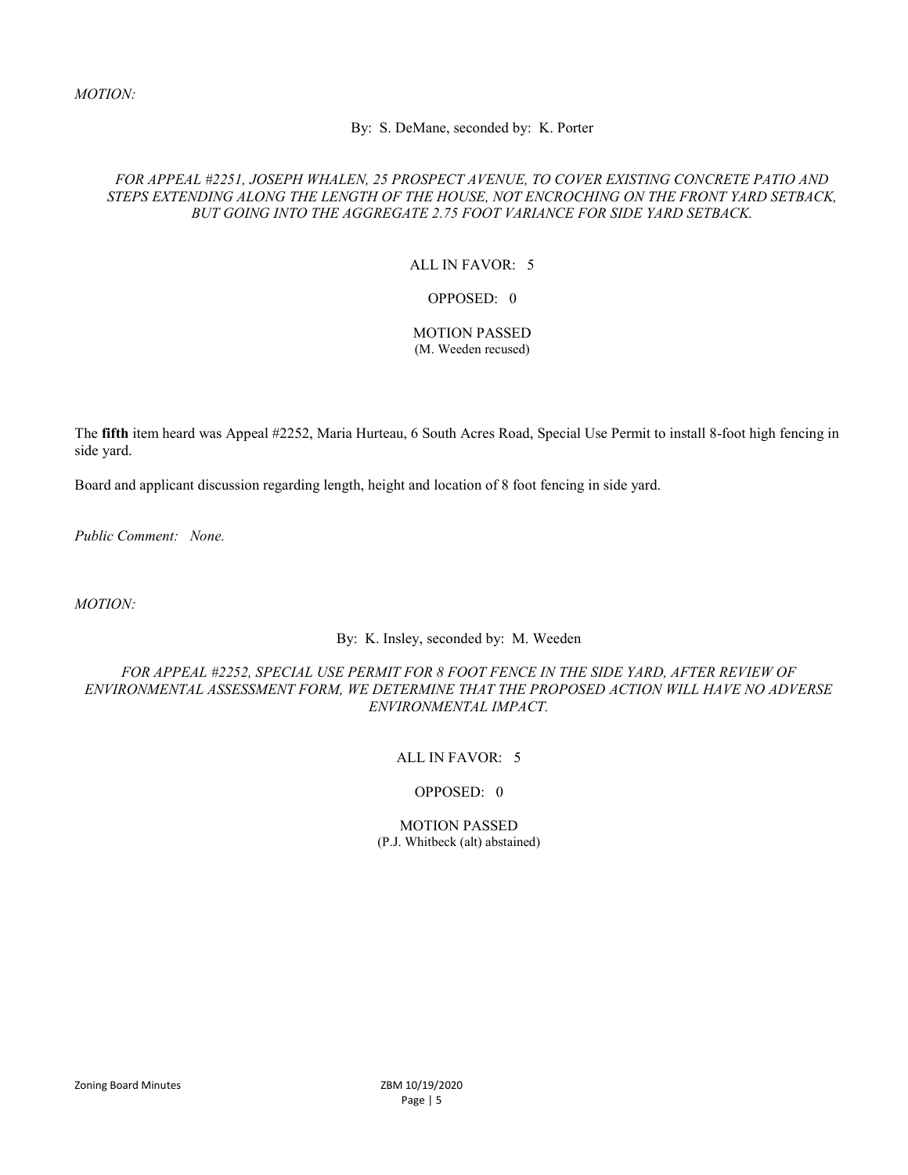### By: S. DeMane, seconded by: K. Porter

## FOR APPEAL #2251, JOSEPH WHALEN, 25 PROSPECT AVENUE, TO COVER EXISTING CONCRETE PATIO AND STEPS EXTENDING ALONG THE LENGTH OF THE HOUSE, NOT ENCROCHING ON THE FRONT YARD SETBACK, BUT GOING INTO THE AGGREGATE 2.75 FOOT VARIANCE FOR SIDE YARD SETBACK.

### ALL IN FAVOR: 5

### OPPOSED: 0

#### MOTION PASSED (M. Weeden recused)

The fifth item heard was Appeal #2252, Maria Hurteau, 6 South Acres Road, Special Use Permit to install 8-foot high fencing in side yard.

Board and applicant discussion regarding length, height and location of 8 foot fencing in side yard.

Public Comment: None.

MOTION:

## By: K. Insley, seconded by: M. Weeden

## FOR APPEAL #2252, SPECIAL USE PERMIT FOR 8 FOOT FENCE IN THE SIDE YARD, AFTER REVIEW OF ENVIRONMENTAL ASSESSMENT FORM, WE DETERMINE THAT THE PROPOSED ACTION WILL HAVE NO ADVERSE ENVIRONMENTAL IMPACT.

## ALL IN FAVOR: 5

## OPPOSED: 0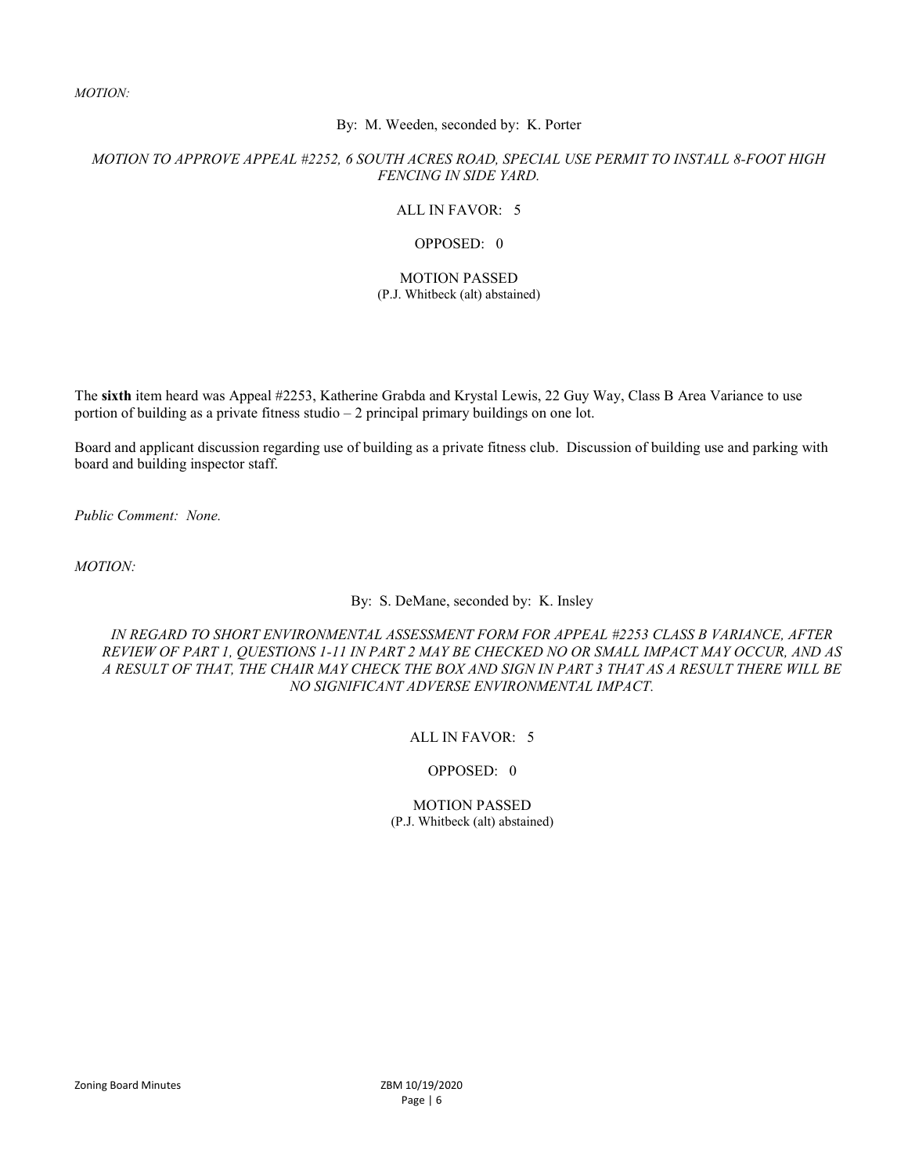MOTION:

### By: M. Weeden, seconded by: K. Porter

## MOTION TO APPROVE APPEAL #2252, 6 SOUTH ACRES ROAD, SPECIAL USE PERMIT TO INSTALL 8-FOOT HIGH FENCING IN SIDE YARD.

### ALL IN FAVOR: 5

### OPPOSED: 0

### MOTION PASSED (P.J. Whitbeck (alt) abstained)

The sixth item heard was Appeal #2253, Katherine Grabda and Krystal Lewis, 22 Guy Way, Class B Area Variance to use portion of building as a private fitness studio – 2 principal primary buildings on one lot.

Board and applicant discussion regarding use of building as a private fitness club. Discussion of building use and parking with board and building inspector staff.

Public Comment: None.

MOTION:

By: S. DeMane, seconded by: K. Insley

IN REGARD TO SHORT ENVIRONMENTAL ASSESSMENT FORM FOR APPEAL #2253 CLASS B VARIANCE, AFTER REVIEW OF PART 1, QUESTIONS 1-11 IN PART 2 MAY BE CHECKED NO OR SMALL IMPACT MAY OCCUR, AND AS A RESULT OF THAT, THE CHAIR MAY CHECK THE BOX AND SIGN IN PART 3 THAT AS A RESULT THERE WILL BE NO SIGNIFICANT ADVERSE ENVIRONMENTAL IMPACT.

### ALL IN FAVOR: 5

#### OPPOSED: 0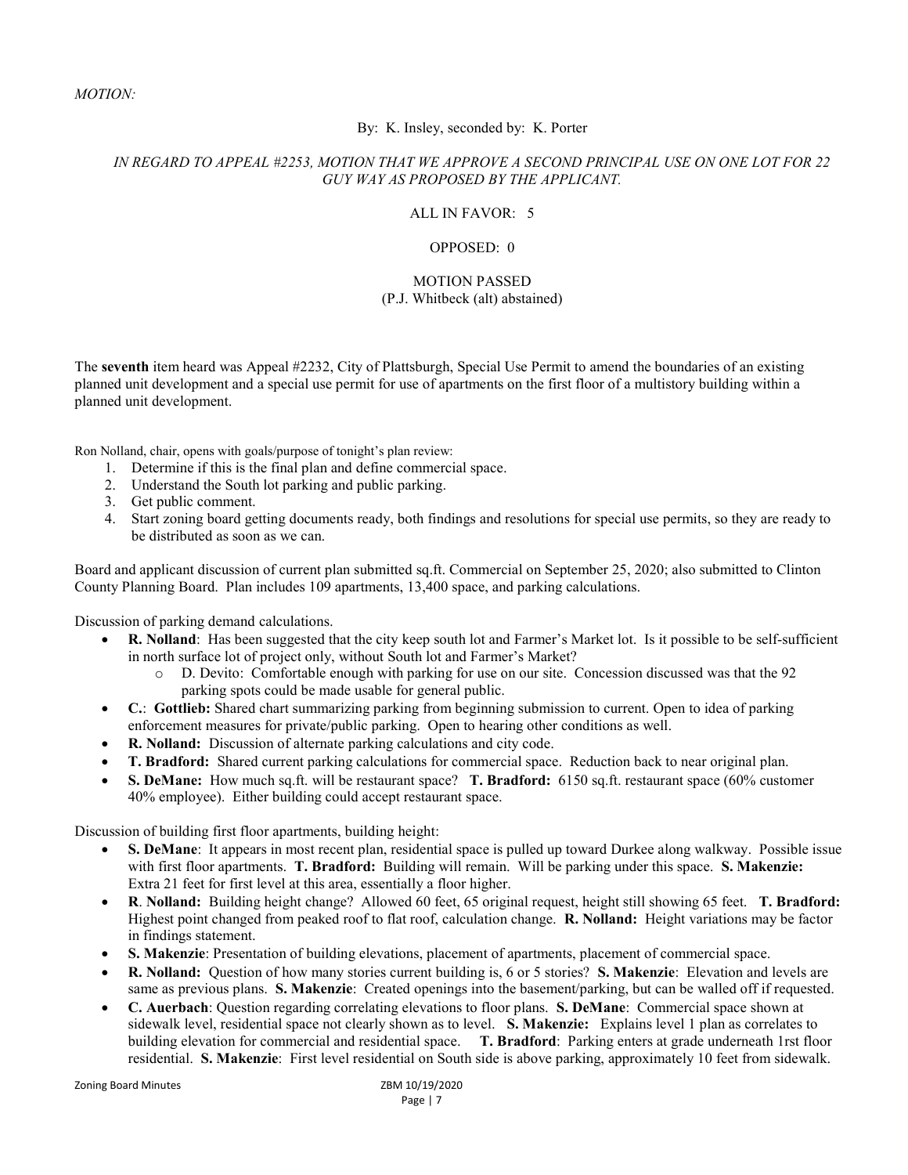## MOTION:

### By: K. Insley, seconded by: K. Porter

## IN REGARD TO APPEAL #2253, MOTION THAT WE APPROVE A SECOND PRINCIPAL USE ON ONE LOT FOR 22 GUY WAY AS PROPOSED BY THE APPLICANT.

### ALL IN FAVOR: 5

### OPPOSED: 0

### MOTION PASSED (P.J. Whitbeck (alt) abstained)

The seventh item heard was Appeal #2232, City of Plattsburgh, Special Use Permit to amend the boundaries of an existing planned unit development and a special use permit for use of apartments on the first floor of a multistory building within a planned unit development.

Ron Nolland, chair, opens with goals/purpose of tonight's plan review:

- 1. Determine if this is the final plan and define commercial space.
- 2. Understand the South lot parking and public parking.
- 3. Get public comment.
- 4. Start zoning board getting documents ready, both findings and resolutions for special use permits, so they are ready to be distributed as soon as we can.

Board and applicant discussion of current plan submitted sq.ft. Commercial on September 25, 2020; also submitted to Clinton County Planning Board. Plan includes 109 apartments, 13,400 space, and parking calculations.

Discussion of parking demand calculations.

- R. Nolland: Has been suggested that the city keep south lot and Farmer's Market lot. Is it possible to be self-sufficient in north surface lot of project only, without South lot and Farmer's Market?
	- D. Devito: Comfortable enough with parking for use on our site. Concession discussed was that the 92 parking spots could be made usable for general public.
- C.: Gottlieb: Shared chart summarizing parking from beginning submission to current. Open to idea of parking enforcement measures for private/public parking. Open to hearing other conditions as well.
- R. Nolland: Discussion of alternate parking calculations and city code.
- T. Bradford: Shared current parking calculations for commercial space. Reduction back to near original plan.
- S. DeMane: How much sq.ft. will be restaurant space? T. Bradford: 6150 sq.ft. restaurant space (60% customer 40% employee). Either building could accept restaurant space.

Discussion of building first floor apartments, building height:

- S. DeMane: It appears in most recent plan, residential space is pulled up toward Durkee along walkway. Possible issue with first floor apartments. T. Bradford: Building will remain. Will be parking under this space. S. Makenzie: Extra 21 feet for first level at this area, essentially a floor higher.
- R. Nolland: Building height change? Allowed 60 feet, 65 original request, height still showing 65 feet. T. Bradford: Highest point changed from peaked roof to flat roof, calculation change. R. Nolland: Height variations may be factor in findings statement.
- S. Makenzie: Presentation of building elevations, placement of apartments, placement of commercial space.
- R. Nolland: Question of how many stories current building is, 6 or 5 stories? S. Makenzie: Elevation and levels are same as previous plans. S. Makenzie: Created openings into the basement/parking, but can be walled off if requested.
- C. Auerbach: Question regarding correlating elevations to floor plans. S. DeMane: Commercial space shown at sidewalk level, residential space not clearly shown as to level. S. Makenzie: Explains level 1 plan as correlates to building elevation for commercial and residential space. T. Bradford: Parking enters at grade underneath 1rst floor residential. S. Makenzie: First level residential on South side is above parking, approximately 10 feet from sidewalk.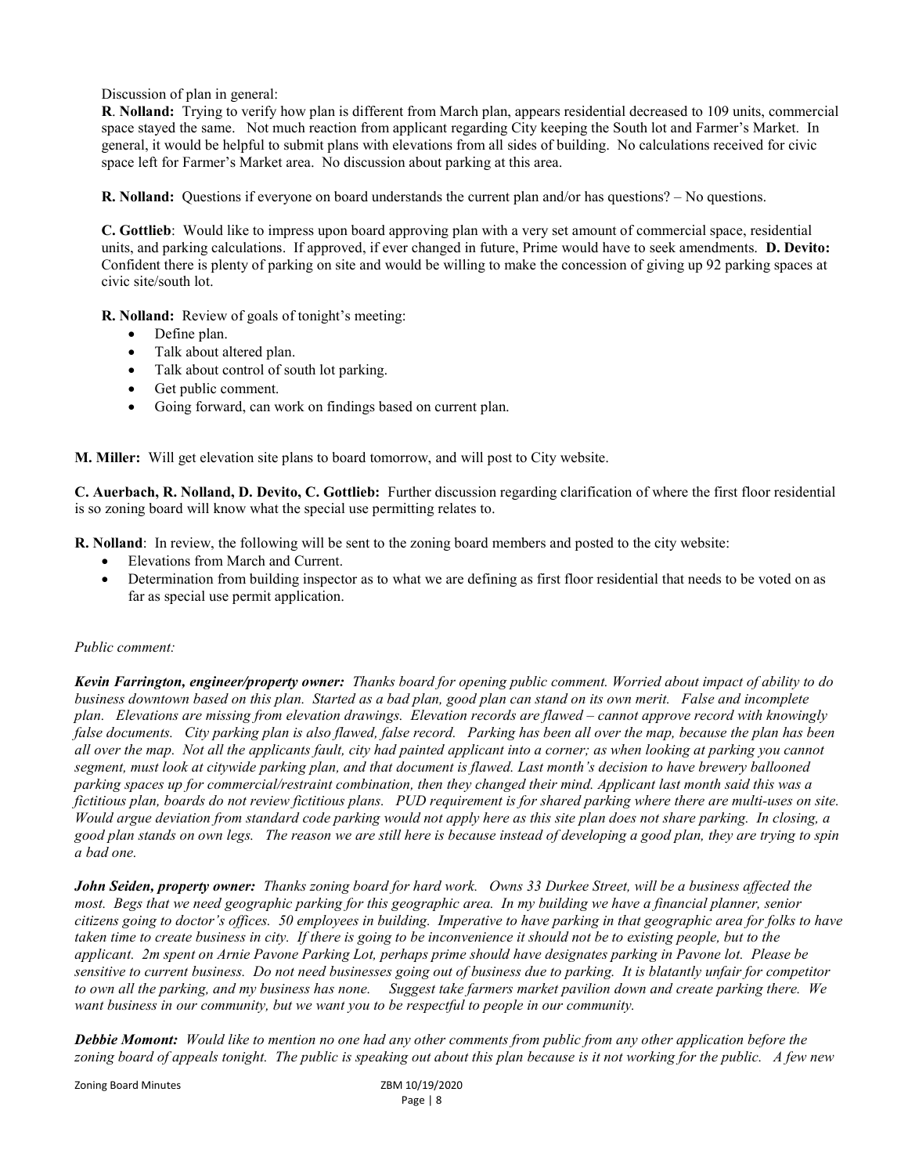Discussion of plan in general:

R. Nolland: Trying to verify how plan is different from March plan, appears residential decreased to 109 units, commercial space stayed the same. Not much reaction from applicant regarding City keeping the South lot and Farmer's Market. In general, it would be helpful to submit plans with elevations from all sides of building. No calculations received for civic space left for Farmer's Market area. No discussion about parking at this area.

R. Nolland: Questions if everyone on board understands the current plan and/or has questions? – No questions.

C. Gottlieb: Would like to impress upon board approving plan with a very set amount of commercial space, residential units, and parking calculations. If approved, if ever changed in future, Prime would have to seek amendments. D. Devito: Confident there is plenty of parking on site and would be willing to make the concession of giving up 92 parking spaces at civic site/south lot.

R. Nolland: Review of goals of tonight's meeting:

- Define plan.
- Talk about altered plan.
- Talk about control of south lot parking.
- Get public comment.
- Going forward, can work on findings based on current plan.

M. Miller: Will get elevation site plans to board tomorrow, and will post to City website.

C. Auerbach, R. Nolland, D. Devito, C. Gottlieb: Further discussion regarding clarification of where the first floor residential is so zoning board will know what the special use permitting relates to.

R. Nolland: In review, the following will be sent to the zoning board members and posted to the city website:

- Elevations from March and Current.
- Determination from building inspector as to what we are defining as first floor residential that needs to be voted on as far as special use permit application.

#### Public comment:

Kevin Farrington, engineer/property owner: Thanks board for opening public comment. Worried about impact of ability to do business downtown based on this plan. Started as a bad plan, good plan can stand on its own merit. False and incomplete plan. Elevations are missing from elevation drawings. Elevation records are flawed – cannot approve record with knowingly false documents. City parking plan is also flawed, false record. Parking has been all over the map, because the plan has been all over the map. Not all the applicants fault, city had painted applicant into a corner; as when looking at parking you cannot segment, must look at citywide parking plan, and that document is flawed. Last month's decision to have brewery ballooned parking spaces up for commercial/restraint combination, then they changed their mind. Applicant last month said this was a fictitious plan, boards do not review fictitious plans. PUD requirement is for shared parking where there are multi-uses on site. Would argue deviation from standard code parking would not apply here as this site plan does not share parking. In closing, a good plan stands on own legs. The reason we are still here is because instead of developing a good plan, they are trying to spin a bad one.

John Seiden, property owner: Thanks zoning board for hard work. Owns 33 Durkee Street, will be a business affected the most. Begs that we need geographic parking for this geographic area. In my building we have a financial planner, senior citizens going to doctor's offices. 50 employees in building. Imperative to have parking in that geographic area for folks to have taken time to create business in city. If there is going to be inconvenience it should not be to existing people, but to the applicant. 2m spent on Arnie Pavone Parking Lot, perhaps prime should have designates parking in Pavone lot. Please be sensitive to current business. Do not need businesses going out of business due to parking. It is blatantly unfair for competitor to own all the parking, and my business has none. Suggest take farmers market pavilion down and create parking there. We want business in our community, but we want you to be respectful to people in our community.

Debbie Momont: Would like to mention no one had any other comments from public from any other application before the zoning board of appeals tonight. The public is speaking out about this plan because is it not working for the public. A few new